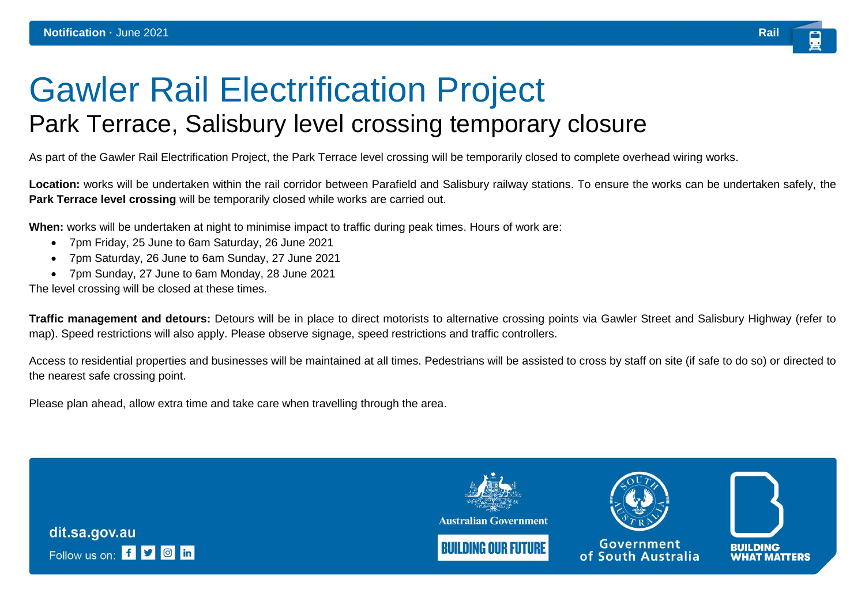## Gawler Rail Electrification Project Park Terrace, Salisbury level crossing temporary closure

As part of the Gawler Rail Electrification Project, the Park Terrace level crossing will be temporarily closed to complete overhead wiring works.

**Location:** works will be undertaken within the rail corridor between Parafield and Salisbury railway stations. To ensure the works can be undertaken safely, the **Park Terrace level crossing** will be temporarily closed while works are carried out.

**When:** works will be undertaken at night to minimise impact to traffic during peak times. Hours of work are:

- 7pm Friday, 25 June to 6am Saturday, 26 June 2021
- 7pm Saturday, 26 June to 6am Sunday, 27 June 2021
- 7pm Sunday, 27 June to 6am Monday, 28 June 2021

The level crossing will be closed at these times.

**Traffic management and detours:** Detours will be in place to direct motorists to alternative crossing points via Gawler Street and Salisbury Highway (refer to map). Speed restrictions will also apply. Please observe signage, speed restrictions and traffic controllers.

Access to residential properties and businesses will be maintained at all times. Pedestrians will be assisted to cross by staff on site (if safe to do so) or directed to the nearest safe crossing point.

Please plan ahead, allow extra time and take care when travelling through the area.